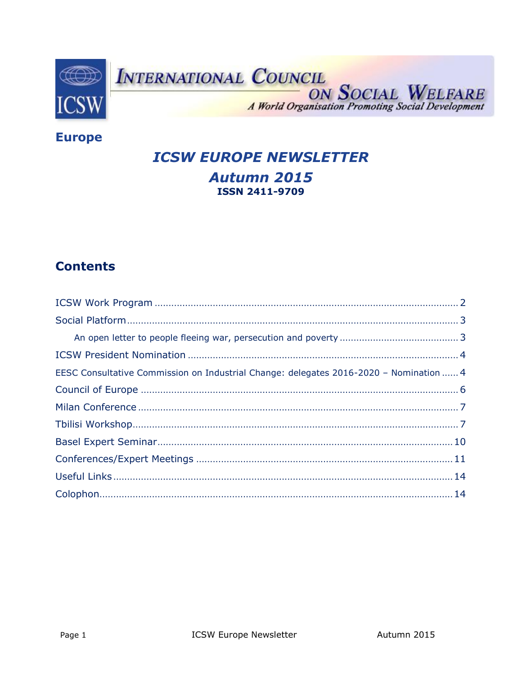

# INTERNATIONAL COUNCIL

ON SOCIAL WELFARE A World Organisation Promoting Social Development

**Europe** 

**ICSW EUROPE NEWSLETTER** 

# **Autumn 2015 ISSN 2411-9709**

# **Contents**

| EESC Consultative Commission on Industrial Change: delegates 2016-2020 - Nomination  4 |
|----------------------------------------------------------------------------------------|
|                                                                                        |
|                                                                                        |
|                                                                                        |
|                                                                                        |
|                                                                                        |
|                                                                                        |
|                                                                                        |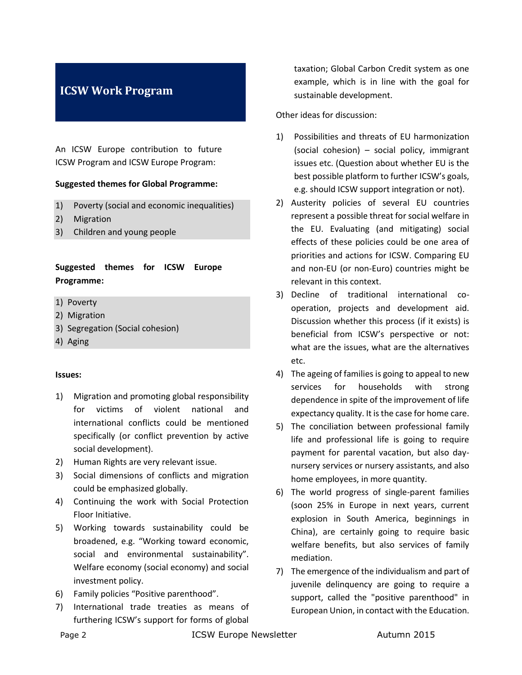# <span id="page-1-0"></span>**ICSW Work Program**

An ICSW Europe contribution to future ICSW Program and ICSW Europe Program:

#### **Suggested themes for Global Programme:**

- 1) Poverty (social and economic inequalities)
- 2) Migration
- 3) Children and young people

### **Suggested themes for ICSW Europe Programme:**

- 1) Poverty
- 2) Migration
- 3) Segregation (Social cohesion)
- 4) Aging

#### **Issues:**

- 1) Migration and promoting global responsibility for victims of violent national and international conflicts could be mentioned specifically (or conflict prevention by active social development).
- 2) Human Rights are very relevant issue.
- 3) Social dimensions of conflicts and migration could be emphasized globally.
- 4) Continuing the work with Social Protection Floor Initiative.
- 5) Working towards sustainability could be broadened, e.g. "Working toward economic, social and environmental sustainability". Welfare economy (social economy) and social investment policy.
- 6) Family policies "Positive parenthood".
- 7) International trade treaties as means of furthering ICSW's support for forms of global

taxation; Global Carbon Credit system as one example, which is in line with the goal for sustainable development.

Other ideas for discussion:

- 1) Possibilities and threats of EU harmonization (social cohesion) – social policy, immigrant issues etc. (Question about whether EU is the best possible platform to further ICSW's goals, e.g. should ICSW support integration or not).
- 2) Austerity policies of several EU countries represent a possible threat for social welfare in the EU. Evaluating (and mitigating) social effects of these policies could be one area of priorities and actions for ICSW. Comparing EU and non-EU (or non-Euro) countries might be relevant in this context.
- 3) Decline of traditional international cooperation, projects and development aid. Discussion whether this process (if it exists) is beneficial from ICSW's perspective or not: what are the issues, what are the alternatives etc.
- 4) The ageing of families is going to appeal to new services for households with strong dependence in spite of the improvement of life expectancy quality. It is the case for home care.
- 5) The conciliation between professional family life and professional life is going to require payment for parental vacation, but also daynursery services or nursery assistants, and also home employees, in more quantity.
- 6) The world progress of single-parent families (soon 25% in Europe in next years, current explosion in South America, beginnings in China), are certainly going to require basic welfare benefits, but also services of family mediation.
- 7) The emergence of the individualism and part of juvenile delinquency are going to require a support, called the "positive parenthood" in European Union, in contact with the Education.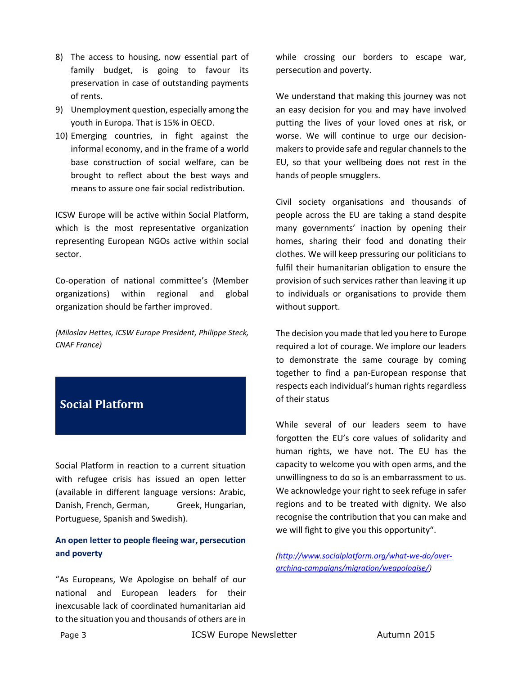- 8) The access to housing, now essential part of family budget, is going to favour its preservation in case of outstanding payments of rents.
- 9) Unemployment question, especially among the youth in Europa. That is 15% in OECD.
- 10) Emerging countries, in fight against the informal economy, and in the frame of a world base construction of social welfare, can be brought to reflect about the best ways and means to assure one fair social redistribution.

ICSW Europe will be active within Social Platform, which is the most representative organization representing European NGOs active within social sector.

Co-operation of national committee's (Member organizations) within regional and global organization should be farther improved.

*(Miloslav Hettes, ICSW Europe President, Philippe Steck, CNAF France)*

# <span id="page-2-0"></span>**Social Platform**

Social Platform in reaction to a current situation with refugee crisis has issued an open letter (available in different language versions: [Arabic,](http://www.socialplatform.org/what-we-do/over-arching-campaigns/migration/weapologise-%D8%A7%D9%84%D8%B9%D8%B1%D8%A8%D9%8A%D8%A9/) [Danish,](http://www.socialplatform.org/what-we-do/over-arching-campaigns/migration/weapologise-dansk/) [French,](http://www.socialplatform.org/what-we-do/over-arching-campaigns/migration/weapologise-francais/) [German,](http://www.socialplatform.org/what-we-do/over-arching-campaigns/migration/weapologise-deutsch/) [Greek,](http://www.socialplatform.org/what-we-do/over-arching-campaigns/migration/weapologise-%CE%B5%CE%BB%CE%BB%CE%B7%CE%BD%CE%B9%CE%BA%CE%AC/) [Hungarian,](http://www.socialplatform.org/what-we-do/over-arching-campaigns/migration/weapologise-magyar/) [Portuguese,](http://www.socialplatform.org/what-we-do/over-arching-campaigns/migration/weapologise-portugues/) [Spanish](http://www.socialplatform.org/what-we-do/over-arching-campaigns/migration/weapologise-espanol/) an[d Swedish\)](http://www.socialplatform.org/what-we-do/over-arching-campaigns/migration/weapologise-svenska/).

### <span id="page-2-1"></span>**An open letter to people fleeing war, persecution and poverty**

"As Europeans, [We Apologise](https://mobile.twitter.com/hashtag/weapologise) on behalf of our national and European leaders for their inexcusable lack of coordinated humanitarian aid to the situation you and thousands of others are in while crossing our borders to escape war, persecution and poverty.

We understand that making this journey was not an easy decision for you and may have involved putting the lives of your loved ones at risk, or worse. We will continue to urge our decisionmakers to provide safe and regular channels to the EU, so that your wellbeing does not rest in the hands of people smugglers.

Civil society organisations and thousands of people across the EU are taking a stand despite many governments' inaction by opening their homes, sharing their food and donating their clothes. We will keep pressuring our politicians to fulfil their humanitarian obligation to ensure the provision of such services rather than leaving it up to individuals or organisations to provide them without support.

The decision you made that led you here to Europe required a lot of courage. We implore our leaders to demonstrate the same courage by coming together to find a pan-European response that respects each individual's human rights regardless of their status

While several of our leaders seem to have forgotten the EU's core values of solidarity and human rights, we have not. The EU has the capacity to welcome you with open arms, and the unwillingness to do so is an embarrassment to us. We acknowledge your right to seek refuge in safer regions and to be treated with dignity. We also recognise the contribution that you can make and we will fight to give you this opportunity".

*[\(http://www.socialplatform.org/what-we-do/over](http://www.socialplatform.org/what-we-do/over-arching-campaigns/migration/weapologise/)[arching-campaigns/migration/weapologise/\)](http://www.socialplatform.org/what-we-do/over-arching-campaigns/migration/weapologise/)*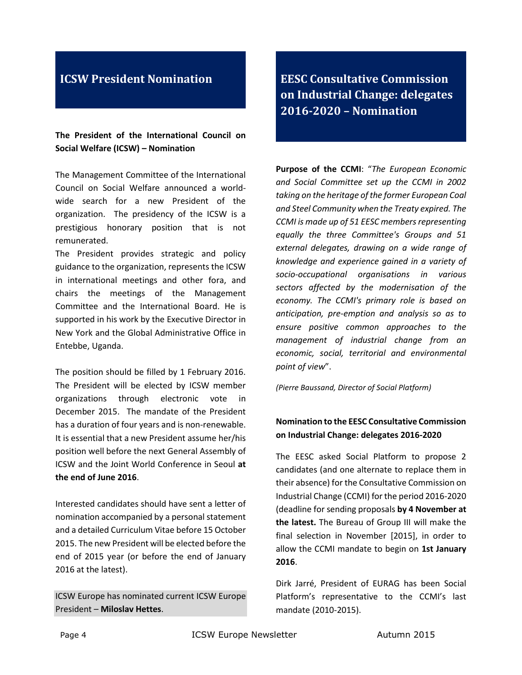## <span id="page-3-0"></span>**ICSW President Nomination**

**The President of the International Council on Social Welfare (ICSW) – Nomination**

The Management Committee of the International Council on Social Welfare announced a worldwide search for a new President of the organization. The presidency of the ICSW is a prestigious honorary position that is not remunerated.

The President provides strategic and policy guidance to the organization, represents the ICSW in international meetings and other fora, and chairs the meetings of the Management Committee and the International Board. He is supported in his work by the Executive Director in New York and the Global Administrative Office in Entebbe, Uganda.

The position should be filled by 1 February 2016. The President will be elected by ICSW member organizations through electronic vote in December 2015. The mandate of the President has a duration of four years and is non-renewable. It is essential that a new President assume her/his position well before the next General Assembly of ICSW and the Joint World Conference in Seoul **at the end of June 2016**.

Interested candidates should have sent a letter of nomination accompanied by a personal statement and a detailed Curriculum Vitae before 15 October 2015. The new President will be elected before the end of 2015 year (or before the end of January 2016 at the latest).

ICSW Europe has nominated current ICSW Europe President – **Miloslav Hettes**.

<span id="page-3-1"></span>**EESC Consultative Commission on Industrial Change: delegates 2016-2020 – Nomination**

**Purpose of the CCMI**: "*The European Economic and Social Committee set up the CCMI in 2002 taking on the heritage of the former European Coal and Steel Community when the Treaty expired. The CCMI is made up of 51 EESC members representing equally the three Committee's Groups and 51 external delegates, drawing on a wide range of knowledge and experience gained in a variety of socio-occupational organisations in various sectors affected by the modernisation of the economy. The CCMI's primary role is based on anticipation, pre-emption and analysis so as to ensure positive common approaches to the management of industrial change from an economic, social, territorial and environmental point of view*".

*(Pierre Baussand, Director of Social Platform)*

### **Nomination to the EESC Consultative Commission on Industrial Change: delegates 2016-2020**

The EESC asked Social Platform to propose 2 candidates (and one alternate to replace them in their absence) for the Consultative Commission on Industrial Change (CCMI) for the period 2016-2020 (deadline for sending proposals **by 4 November at the latest.** The Bureau of Group III will make the final selection in November [2015], in order to allow the CCMI mandate to begin on **1st January 2016**.

Dirk Jarré, President of EURAG has been Social Platform's representative to the CCMI's last mandate (2010-2015).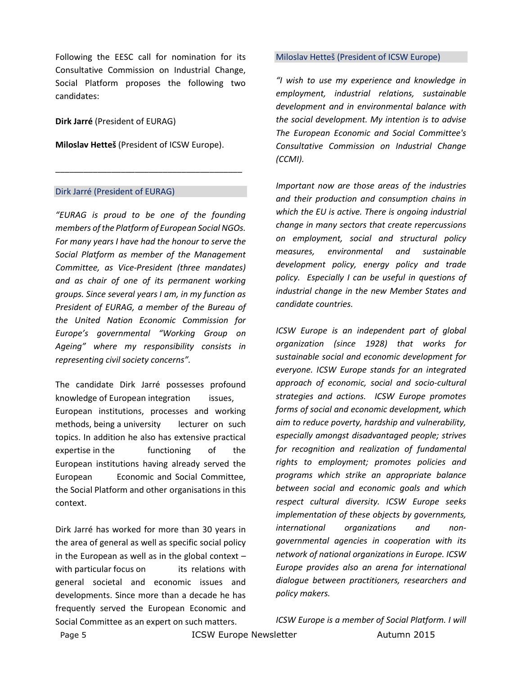Following the EESC call for nomination for its Consultative Commission on Industrial Change, Social Platform proposes the following two candidates:

**Dirk Jarré** (President of EURAG)

**Miloslav Hetteš** (President of ICSW Europe).

\_\_\_\_\_\_\_\_\_\_\_\_\_\_\_\_\_\_\_\_\_\_\_\_\_\_\_\_\_\_\_\_\_\_\_\_\_\_\_\_

#### Dirk Jarré (President of EURAG)

*"EURAG is proud to be one of the founding members of the Platform of European Social NGOs. For many years I have had the honour to serve the Social Platform as member of the Management Committee, as Vice-President (three mandates) and as chair of one of its permanent working groups. Since several years I am, in my function as President of EURAG, a member of the Bureau of the United Nation Economic Commission for Europe's governmental "Working Group on Ageing" where my responsibility consists in representing civil society concerns".*

The candidate Dirk Jarré possesses profound knowledge of European integration issues, European institutions, processes and working methods, being a university lecturer on such topics. In addition he also has extensive practical expertise in the functioning of the European institutions having already served the European Economic and Social Committee, the Social Platform and other organisations in this context.

Dirk Jarré has worked for more than 30 years in the area of general as well as specific social policy in the European as well as in the global context  $$ with particular focus on its relations with general societal and economic issues and developments. Since more than a decade he has frequently served the European Economic and Social Committee as an expert on such matters.

#### Miloslav Hetteš (President of ICSW Europe)

*"I wish to use my experience and knowledge in employment, industrial relations, sustainable development and in environmental balance with the social development. My intention is to advise The European Economic and Social Committee's Consultative Commission on Industrial Change (CCMI).* 

*Important now are those areas of the industries and their production and consumption chains in which the EU is active. There is ongoing industrial change in many sectors that create repercussions on employment, social and structural policy measures, environmental and sustainable development policy, energy policy and trade policy. Especially I can be useful in questions of industrial change in the new Member States and candidate countries.*

*ICSW Europe is an independent part of global organization (since 1928) that works for sustainable social and economic development for everyone. ICSW Europe stands for an integrated approach of economic, social and socio-cultural strategies and actions. ICSW Europe promotes forms of social and economic development, which aim to reduce poverty, hardship and vulnerability, especially amongst disadvantaged people; strives for recognition and realization of fundamental rights to employment; promotes policies and programs which strike an appropriate balance between social and economic goals and which respect cultural diversity. ICSW Europe seeks implementation of these objects by governments, international organizations and nongovernmental agencies in cooperation with its network of national organizations in Europe. ICSW Europe provides also an arena for international dialogue between practitioners, researchers and policy makers.*

*ICSW Europe is a member of Social Platform. I will* 

Page 5 **ICSW Europe Newsletter** Autumn 2015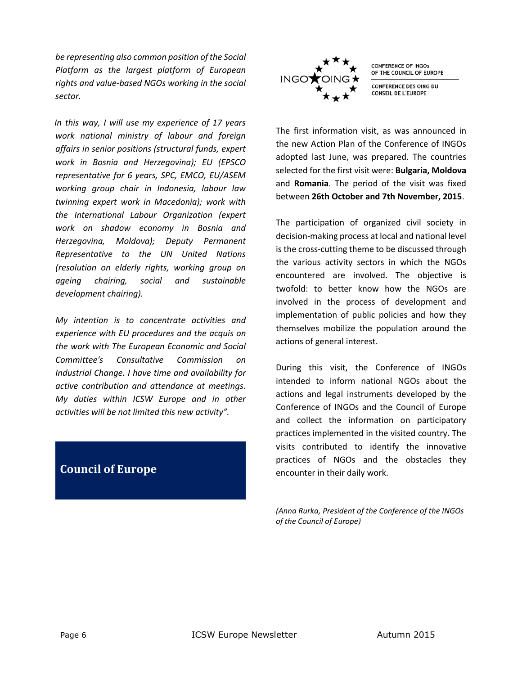*be representing also common position of the Social Platform as the largest platform of European rights and value-based NGOs working in the social sector.* 

*In this way, I will use my experience of 17 years work national ministry of labour and foreign affairs in senior positions (structural funds, expert work in Bosnia and Herzegovina); EU (EPSCO representative for 6 years, SPC, EMCO, EU/ASEM working group chair in Indonesia, labour law twinning expert work in Macedonia); work with the International Labour Organization (expert work on shadow economy in Bosnia and Herzegovina, Moldova); Deputy Permanent Representative to the UN United Nations (resolution on elderly rights, working group on ageing chairing, social and sustainable development chairing).*

*My intention is to concentrate activities and experience with EU procedures and the acquis on the work with The European Economic and Social Committee's Consultative Commission on Industrial Change. I have time and availability for active contribution and attendance at meetings. My duties within ICSW Europe and in other activities will be not limited this new activity".*

# <span id="page-5-0"></span>**Council of Europe**



**CONFERENCE OF INGOS** OF THE COUNCIL OF EUROPE

CONFERENCE DES OING DU **CONSEIL DE L'EUROPE** 

The first information visit, as was announced in the new Action Plan of the Conference of INGOs adopted last June, was prepared. The countries selected for the first visit were: **Bulgaria, Moldova** and **Romania**. The period of the visit was fixed between **26th October and 7th November, 2015**.

The participation of organized civil society in decision-making process at local and national level is the cross-cutting theme to be discussed through the various activity sectors in which the NGOs encountered are involved. The objective is twofold: to better know how the NGOs are involved in the process of development and implementation of public policies and how they themselves mobilize the population around the actions of general interest.

During this visit, the Conference of INGOs intended to inform national NGOs about the actions and legal instruments developed by the Conference of INGOs and the Council of Europe and collect the information on participatory practices implemented in the visited country. The visits contributed to identify the innovative practices of NGOs and the obstacles they encounter in their daily work.

*(Anna Rurka, President of the Conference of the INGOs of the Council of Europe)*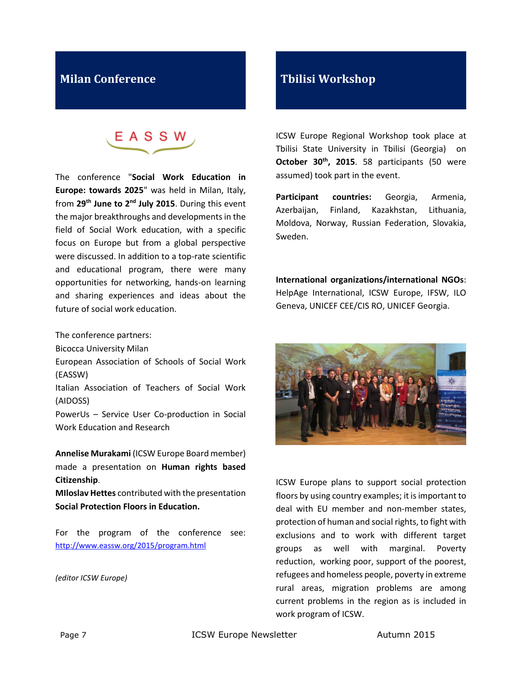# <span id="page-6-0"></span>**Milan Conference**

EASSW

The conference "**Social Work Education in Europe: towards 2025**" was held in Milan, Italy, from **29th June to 2nd July 2015**. During this event the major breakthroughs and developments in the field of Social Work education, with a specific focus on Europe but from a global perspective were discussed. In addition to a top-rate scientific and educational program, there were many opportunities for networking, hands-on learning and sharing experiences and ideas about the future of social work education.

The conference partners:

Bicocca University Milan

European Association of Schools of Social Work (EASSW)

Italian Association of Teachers of Social Work (AIDOSS)

PowerUs – Service User Co-production in Social Work Education and Research

**Annelise Murakami** (ICSW Europe Board member) made a presentation on **Human rights based Citizenship**.

**MIloslav Hettes** contributed with the presentation **Social Protection Floors in Education.**

For the program of the conference see: <http://www.eassw.org/2015/program.html>

*(editor ICSW Europe)*

# <span id="page-6-1"></span>**Tbilisi Workshop**

ICSW Europe Regional Workshop took place at Tbilisi State University in Tbilisi (Georgia) on **October 30th, 2015**. 58 participants (50 were assumed) took part in the event.

**Participant countries:** Georgia, Armenia, Azerbaijan, Finland, Kazakhstan, Lithuania, Moldova, Norway, Russian Federation, Slovakia, Sweden.

**International organizations/international NGOs**: HelpAge International, ICSW Europe, IFSW, ILO Geneva, UNICEF CEE/CIS RO, UNICEF Georgia.



ICSW Europe plans to support social protection floors by using country examples; it is important to deal with EU member and non-member states, protection of human and social rights, to fight with exclusions and to work with different target groups as well with marginal. Poverty reduction, working poor, support of the poorest, refugees and homeless people, poverty in extreme rural areas, migration problems are among current problems in the region as is included in work program of ICSW.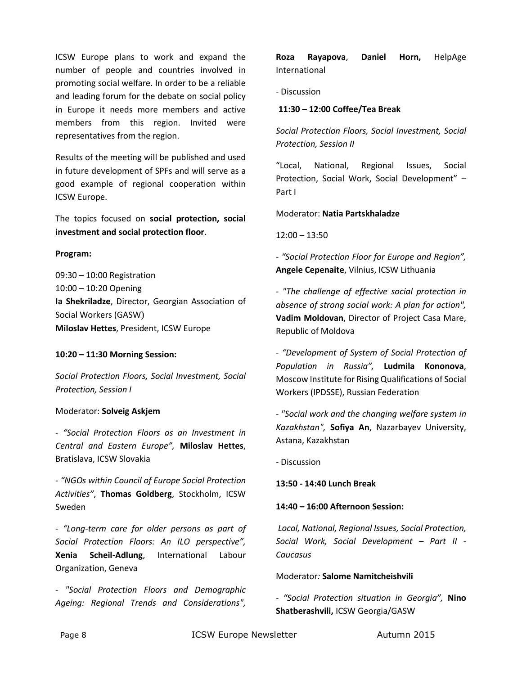ICSW Europe plans to work and expand the number of people and countries involved in promoting social welfare. In order to be a reliable and leading forum for the debate on social policy in Europe it needs more members and active members from this region. Invited were representatives from the region.

Results of the meeting will be published and used in future development of SPFs and will serve as a good example of regional cooperation within ICSW Europe.

The topics focused on **social protection, social investment and social protection floor**.

#### **Program:**

09:30 – 10:00 Registration 10:00 – 10:20 Opening **Ia Shekriladze**, Director, Georgian Association of Social Workers (GASW) **Miloslav Hettes**, President, ICSW Europe

#### **10:20 – 11:30 Morning Session:**

*Social Protection Floors, Social Investment, Social Protection, Session I* 

#### Moderator: **Solveig Askjem**

- *"Social Protection Floors as an Investment in Central and Eastern Europe",* **Miloslav Hettes**, Bratislava, ICSW Slovakia

- *"NGOs within Council of Europe Social Protection Activities"*, **Thomas Goldberg**, Stockholm, ICSW Sweden

- *"Long-term care for older persons as part of Social Protection Floors: An ILO perspective",*  **Xenia Scheil-Adlung**, International Labour Organization, Geneva

- *"Social Protection Floors and Demographic Ageing: Regional Trends and Considerations",* 

**Roza Rayapova**, **Daniel Horn,** HelpAge International

- Discussion

#### **11:30 – 12:00 Coffee/Tea Break**

*Social Protection Floors, Social Investment, Social Protection, Session II* 

"Local, National, Regional Issues, Social Protection, Social Work, Social Development" – Part I

Moderator: **Natia Partskhaladze** 

12:00 – 13:50

- *"Social Protection Floor for Europe and Region",*  **Angele Cepenaite**, Vilnius, ICSW Lithuania

- *"The challenge of effective social protection in absence of strong social work: A plan for action",*  **Vadim Moldovan**, Director of Project Casa Mare, Republic of Moldova

- *"Development of System of Social Protection of Population in Russia",* **Ludmila Kononova**, Moscow Institute for Rising Qualifications of Social Workers (IPDSSE), Russian Federation

- *"Social work and the changing welfare system in Kazakhstan",* **Sofiya An**, Nazarbayev University, Astana, Kazakhstan

- Discussion

**13:50 - 14:40 Lunch Break**

#### **14:40 – 16:00 Afternoon Session:**

*Local, National, Regional Issues, Social Protection, Social Work, Social Development – Part II - Caucasus* 

#### Moderator*:* **Salome Namitcheishvili**

- *"Social Protection situation in Georgia",* **Nino Shatberashvili,** ICSW Georgia/GASW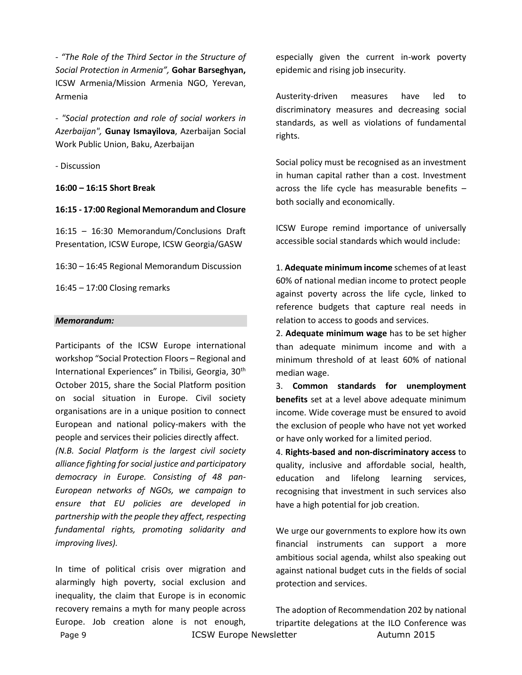- *"The Role of the Third Sector in the Structure of Social Protection in Armenia",* **Gohar Barseghyan,**  ICSW Armenia/Mission Armenia NGO, Yerevan, Armenia

- *"Social protection and role of social workers in Azerbaijan",* **Gunay Ismayilova**, Azerbaijan Social Work Public Union, Baku, Azerbaijan

- Discussion

**16:00 – 16:15 Short Break** 

**16:15 - 17:00 Regional Memorandum and Closure**

16:15 – 16:30 Memorandum/Conclusions Draft Presentation, ICSW Europe, ICSW Georgia/GASW

16:30 – 16:45 Regional Memorandum Discussion

16:45 – 17:00 Closing remarks

#### *Memorandum:*

Participants of the ICSW Europe international workshop "Social Protection Floors – Regional and International Experiences" in Tbilisi, Georgia, 30<sup>th</sup> October 2015, share the Social Platform position on social situation in Europe. Civil society organisations are in a unique position to connect European and national policy-makers with the people and services their policies directly affect.

*(N.B. Social Platform is the largest civil society alliance fighting for social justice and participatory democracy in Europe. Consisting of 48 pan-European networks of NGOs, we campaign to ensure that EU policies are developed in partnership with the people they affect, respecting fundamental rights, promoting solidarity and improving lives).*

Page 9 **ICSW Europe Newsletter** Autumn 2015 In time of political crisis over migration and alarmingly high poverty, social exclusion and inequality, the claim that Europe is in economic recovery remains a myth for many people across Europe. Job creation alone is not enough,

especially given the current in-work poverty epidemic and rising job insecurity.

Austerity-driven measures have led to discriminatory measures and decreasing social standards, as well as violations of fundamental rights.

Social policy must be recognised as an investment in human capital rather than a cost. Investment across the life cycle has measurable benefits – both socially and economically.

ICSW Europe remind importance of universally accessible social standards which would include:

1. **Adequate minimum income** schemes of at least 60% of national median income to protect people against poverty across the life cycle, linked to reference budgets that capture real needs in relation to access to goods and services.

2. **Adequate minimum wage** has to be set higher than adequate minimum income and with a minimum threshold of at least 60% of national median wage.

3. **Common standards for unemployment benefits** set at a level above adequate minimum income. Wide coverage must be ensured to avoid the exclusion of people who have not yet worked or have only worked for a limited period.

4. **Rights-based and non-discriminatory access** to quality, inclusive and affordable social, health, education and lifelong learning services, recognising that investment in such services also have a high potential for job creation.

We urge our governments to explore how its own financial instruments can support a more ambitious social agenda, whilst also speaking out against national budget cuts in the fields of social protection and services.

The adoption of Recommendation 202 by national tripartite delegations at the ILO Conference was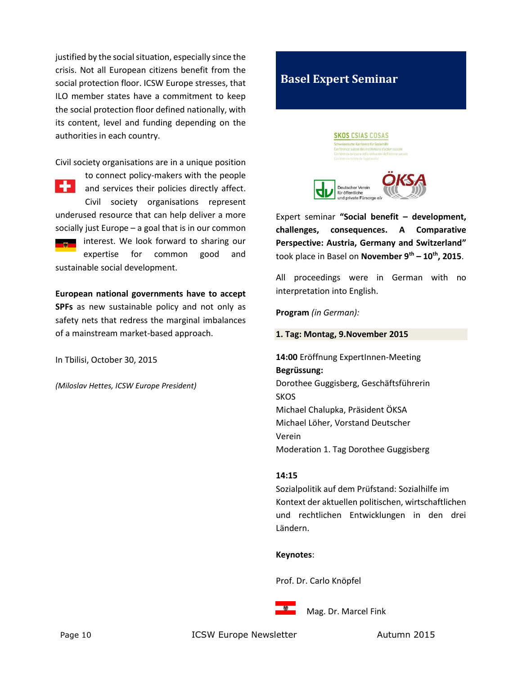justified by the social situation, especially since the crisis. Not all European citizens benefit from the social protection floor. ICSW Europe stresses, that ILO member states have a commitment to keep the social protection floor defined nationally, with its content, level and funding depending on the authorities in each country.

Civil society organisations are in a unique position

to connect policy-makers with the people ÷ and services their policies directly affect. Civil society organisations represent underused resource that can help deliver a more socially just Europe – a goal that is in our common interest. We look forward to sharing our expertise for common good and sustainable social development.

**European national governments have to accept SPFs** as new sustainable policy and not only as safety nets that redress the marginal imbalances of a mainstream market-based approach.

In Tbilisi, October 30, 2015

*(Miloslav Hettes, ICSW Europe President)*

# <span id="page-9-0"></span>**Basel Expert Seminar**





Expert seminar **"Social benefit – development, challenges, consequences. A Comparative Perspective: Austria, Germany and Switzerland"** took place in Basel on **November 9th – 10th, 2015**.

All proceedings were in German with no interpretation into English.

**Program** *(in German):*

#### **1. Tag: Montag, 9.November 2015**

**14:00** Eröffnung ExpertInnen-Meeting **Begrüssung:** Dorothee Guggisberg, Geschäftsführerin **SKOS** Michael Chalupka, Präsident ÖKSA Michael Löher, Vorstand Deutscher Verein Moderation 1. Tag Dorothee Guggisberg

### **14:15**

Sozialpolitik auf dem Prüfstand: Sozialhilfe im Kontext der aktuellen politischen, wirtschaftlichen und rechtlichen Entwicklungen in den drei Ländern.

#### **Keynotes**:

Prof. Dr. Carlo Knöpfel



Mag. Dr. Marcel Fink

Page 10 **ICSW Europe Newsletter** Autumn 2015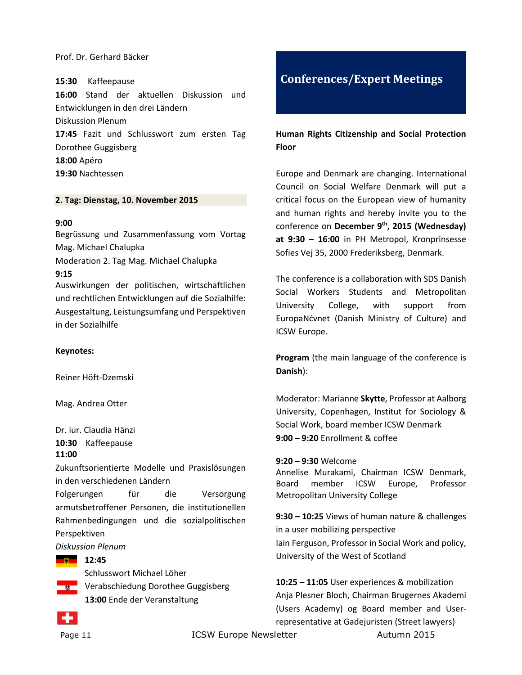### Prof. Dr. Gerhard Bäcker

#### **15:30** Kaffeepause

**16:00** Stand der aktuellen Diskussion und Entwicklungen in den drei Ländern Diskussion Plenum

**17:45** Fazit und Schlusswort zum ersten Tag Dorothee Guggisberg **18:00** Apéro

**19:30** Nachtessen

#### **2. Tag: Dienstag, 10. November 2015**

#### **9:00**

Begrüssung und Zusammenfassung vom Vortag Mag. Michael Chalupka

Moderation 2. Tag Mag. Michael Chalupka

#### **9:15**

Auswirkungen der politischen, wirtschaftlichen und rechtlichen Entwicklungen auf die Sozialhilfe: Ausgestaltung, Leistungsumfang und Perspektiven in der Sozialhilfe

### **Keynotes:**

Reiner Höft-Dzemski

Mag. Andrea Otter

Dr. iur. Claudia Hänzi

**10:30** Kaffeepause

### **11:00**

Zukunftsorientierte Modelle und Praxislösungen in den verschiedenen Ländern

Folgerungen für die Versorgung armutsbetroffener Personen, die institutionellen Rahmenbedingungen und die sozialpolitischen Perspektiven

*Diskussion Plenum*

#### **Barriet Street 12:45**

Schlusswort Michael Löher Verabschiedung Dorothee Guggisberg **13:00** Ende der Veranstaltung

<span id="page-10-0"></span>

### **Human Rights Citizenship and Social Protection Floor**

Europe and Denmark are changing. International Council on Social Welfare Denmark will put a critical focus on the European view of humanity and human rights and hereby invite you to the conference on **December 9th, 2015 (Wednesday) at 9:30 – 16:00** in PH Metropol, Kronprinsesse Sofies Vej 35, 2000 Frederiksberg, Denmark.

The conference is a collaboration with SDS Danish Social Workers Students and Metropolitan University College, with support from EuropaNćvnet (Danish Ministry of Culture) and ICSW Europe.

**Program** (the main language of the conference is **Danish**):

Moderator: Marianne **Skytte**, Professor at Aalborg University, Copenhagen, Institut for Sociology & Social Work, board member ICSW Denmark **9:00 – 9:20** Enrollment & coffee

**9:20 – 9:30** Welcome

Annelise Murakami, Chairman ICSW Denmark, Board member ICSW Europe, Professor Metropolitan University College

**9:30 – 10:25** Views of human nature & challenges in a user mobilizing perspective Iain Ferguson, Professor in Social Work and policy, University of the West of Scotland

**10:25 – 11:05** User experiences & mobilization Anja Plesner Bloch, Chairman Brugernes Akademi (Users Academy) og Board member and Userrepresentative at Gadejuristen (Street lawyers)

Page 11 **ICSW Europe Newsletter** Autumn 2015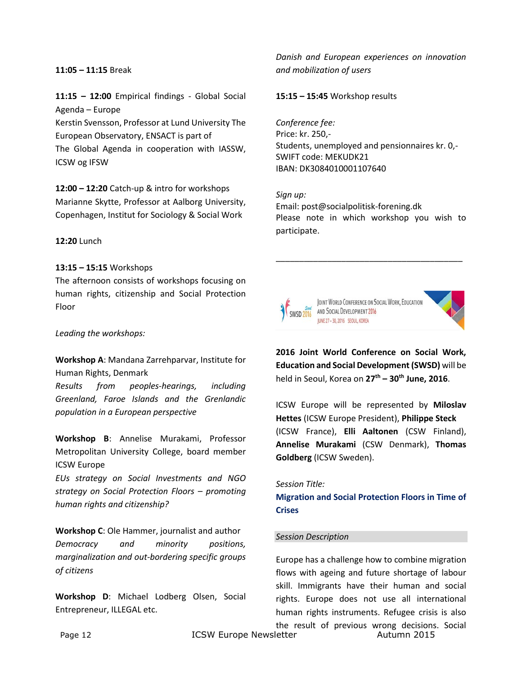#### **11:05 – 11:15** Break

**11:15 – 12:00** Empirical findings - Global Social Agenda – Europe

Kerstin Svensson, Professor at Lund University The European Observatory, ENSACT is part of The Global Agenda in cooperation with IASSW, ICSW og IFSW

**12:00 – 12:20** Catch-up & intro for workshops Marianne Skytte, Professor at Aalborg University, Copenhagen, Institut for Sociology & Social Work

**12:20** Lunch

#### **13:15 – 15:15** Workshops

The afternoon consists of workshops focusing on human rights, citizenship and Social Protection Floor

*Leading the workshops:*

**Workshop A**: Mandana Zarrehparvar, Institute for Human Rights, Denmark

*Results from peoples-hearings, including Greenland, Faroe Islands and the Grenlandic population in a European perspective*

**Workshop B**: Annelise Murakami, Professor Metropolitan University College, board member ICSW Europe

*EUs strategy on Social Investments and NGO strategy on Social Protection Floors – promoting human rights and citizenship?*

**Workshop C**: Ole Hammer, journalist and author *Democracy and minority positions, marginalization and out-bordering specific groups of citizens*

**Workshop D**: Michael Lodberg Olsen, Social Entrepreneur, ILLEGAL etc.

*Danish and European experiences on innovation and mobilization of users*

**15:15 – 15:45** Workshop results

*Conference fee:* Price: kr. 250,- Students, unemployed and pensionnaires kr. 0,- SWIFT code: MEKUDK21 IBAN: DK3084010001107640

*Sign up:* Email: post@socialpolitisk-forening.dk Please note in which workshop you wish to participate.

\_\_\_\_\_\_\_\_\_\_\_\_\_\_\_\_\_\_\_\_\_\_\_\_\_\_\_\_\_\_\_\_\_\_\_\_\_\_\_\_



**2016 Joint World Conference on Social Work, Education and Social Development (SWSD)** will be held in Seoul, Korea on **27th – 30th June, 2016**.

ICSW Europe will be represented by **Miloslav Hettes** (ICSW Europe President), **Philippe Steck** (ICSW France), **Elli Aaltonen** (CSW Finland), **Annelise Murakami** (CSW Denmark), **Thomas Goldberg** (ICSW Sweden).

#### *Session Title:*

**Migration and Social Protection Floors in Time of Crises**

#### *Session Description*

Europe has a challenge how to combine migration flows with ageing and future shortage of labour skill. Immigrants have their human and social rights. Europe does not use all international human rights instruments. Refugee crisis is also the result of previous wrong decisions. Social

Page 12 **ICSW Europe Newsletter** Autumn 2015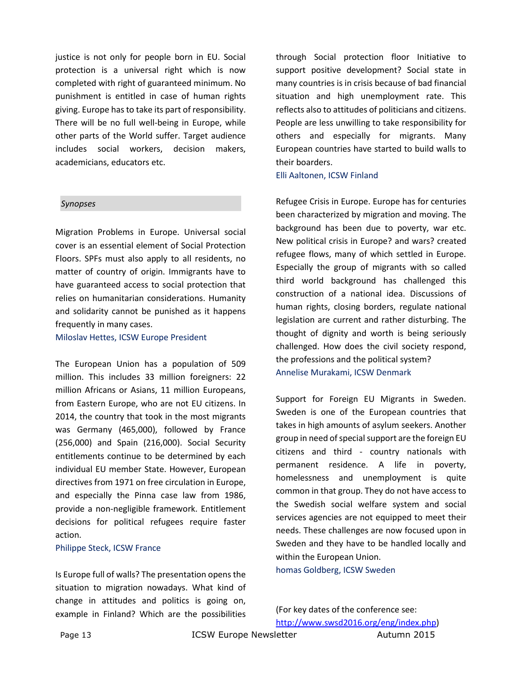justice is not only for people born in EU. Social protection is a universal right which is now completed with right of guaranteed minimum. No punishment is entitled in case of human rights giving. Europe has to take its part of responsibility. There will be no full well-being in Europe, while other parts of the World suffer. Target audience includes social workers, decision makers, academicians, educators etc.

#### S *Synopses*

Migration Problems in Europe. Universal social cover is an essential element of Social Protection Floors. SPFs must also apply to all residents, no matter of country of origin. Immigrants have to have guaranteed access to social protection that relies on humanitarian considerations. Humanity and solidarity cannot be punished as it happens frequently in many cases.

Miloslav Hettes, ICSW Europe President

The European Union has a population of 509 million. This includes 33 million foreigners: 22 million Africans or Asians, 11 million Europeans, from Eastern Europe, who are not EU citizens. In 2014, the country that took in the most migrants was Germany (465,000), followed by France (256,000) and Spain (216,000). Social Security entitlements continue to be determined by each individual EU member State. However, European directives from 1971 on free circulation in Europe, and especially the Pinna case law from 1986, provide a non-negligible framework. Entitlement decisions for political refugees require faster action.

#### Philippe Steck, ICSW France

Is Europe full of walls? The presentation opens the situation to migration nowadays. What kind of change in attitudes and politics is going on, example in Finland? Which are the possibilities through Social protection floor Initiative to support positive development? Social state in many countries is in crisis because of bad financial situation and high unemployment rate. This reflects also to attitudes of politicians and citizens. People are less unwilling to take responsibility for others and especially for migrants. Many European countries have started to build walls to their boarders.

Elli Aaltonen, ICSW Finland

Refugee Crisis in Europe. Europe has for centuries been characterized by migration and moving. The background has been due to poverty, war etc. New political crisis in Europe? and wars? created refugee flows, many of which settled in Europe. Especially the group of migrants with so called third world background has challenged this construction of a national idea. Discussions of human rights, closing borders, regulate national legislation are current and rather disturbing. The thought of dignity and worth is being seriously challenged. How does the civil society respond, the professions and the political system? Annelise Murakami, ICSW Denmark

Support for Foreign EU Migrants in Sweden. Sweden is one of the European countries that takes in high amounts of asylum seekers. Another group in need of special support are the foreign EU citizens and third - country nationals with permanent residence. A life in poverty, homelessness and unemployment is quite common in that group. They do not have access to the Swedish social welfare system and social services agencies are not equipped to meet their needs. These challenges are now focused upon in Sweden and they have to be handled locally and within the European Union. homas Goldberg, ICSW Sweden

(For key dates of the conference see: [http://www.swsd2016.org/eng/index.php\)](http://www.swsd2016.org/eng/index.php)